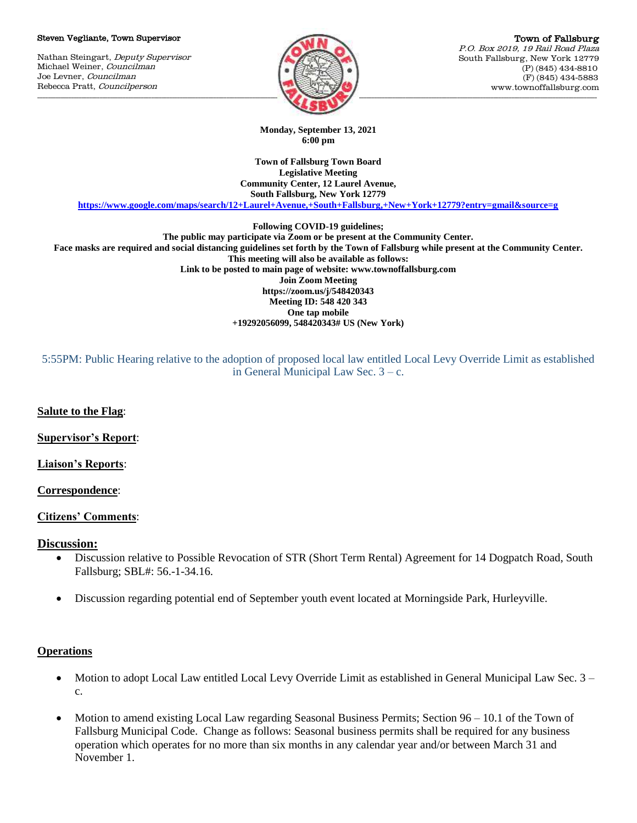#### Steven Vegliante, Town Supervisor

Nathan Steingart, Deputy Supervisor Michael Weiner, Councilman Joe Levner, Councilman Rebecca Pratt, Councilperson



Town of Fallsburg P.O. Box 2019, 19 Rail Road Plaza South Fallsburg, New York 12779 (P) (845) 434-8810 (F) (845) 434-5883 www.townoffallsburg.com

**Monday, September 13, 2021 6:00 pm**

**Town of Fallsburg Town Board Legislative Meeting Community Center, 12 Laurel Avenue, South Fallsburg, New York 12779**

**<https://www.google.com/maps/search/12+Laurel+Avenue,+South+Fallsburg,+New+York+12779?entry=gmail&source=g>**

**Following COVID-19 guidelines;**

**The public may participate via Zoom or be present at the Community Center. Face masks are required and social distancing guidelines set forth by the Town of Fallsburg while present at the Community Center. This meeting will also be available as follows: Link to be posted to main page of website: www.townoffallsburg.com Join Zoom Meeting https://zoom.us/j/548420343 Meeting ID: 548 420 343 One tap mobile +19292056099, 548420343# US (New York)**

5:55PM: Public Hearing relative to the adoption of proposed local law entitled Local Levy Override Limit as established in General Municipal Law Sec. 3 – c.

**Salute to the Flag**:

**Supervisor's Report**:

**Liaison's Reports**:

#### **Correspondence**:

### **Citizens' Comments**:

### **Discussion:**

- Discussion relative to Possible Revocation of STR (Short Term Rental) Agreement for 14 Dogpatch Road, South Fallsburg; SBL#: 56.-1-34.16.
- Discussion regarding potential end of September youth event located at Morningside Park, Hurleyville.

### **Operations**

- Motion to adopt Local Law entitled Local Levy Override Limit as established in General Municipal Law Sec. 3 c.
- Motion to amend existing Local Law regarding Seasonal Business Permits; Section 96 10.1 of the Town of Fallsburg Municipal Code. Change as follows: Seasonal business permits shall be required for any business operation which operates for no more than six months in any calendar year and/or between March 31 and November 1.